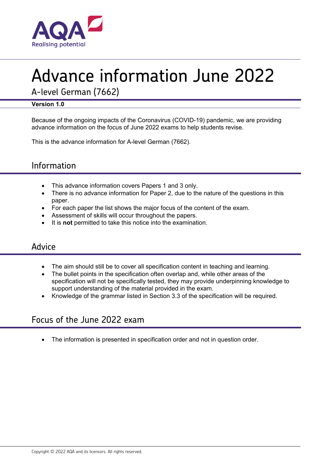

# Advance information June 2022

A-level German (7662)

# **Version 1.0**

Because of the ongoing impacts of the Coronavirus (COVID-19) pandemic, we are providing advance information on the focus of June 2022 exams to help students revise.

This is the advance information for A-level German (7662).

# Information

- This advance information covers Papers 1 and 3 only.
- There is no advance information for Paper 2, due to the nature of the questions in this paper.
- For each paper the list shows the major focus of the content of the exam.
- Assessment of skills will occur throughout the papers.
- It is **not** permitted to take this notice into the examination.

# Advice

- The aim should still be to cover all specification content in teaching and learning.
- The bullet points in the specification often overlap and, while other areas of the specification will not be specifically tested, they may provide underpinning knowledge to support understanding of the material provided in the exam.
- Knowledge of the grammar listed in Section 3.3 of the specification will be required.

# Focus of the June 2022 exam

The information is presented in specification order and not in question order.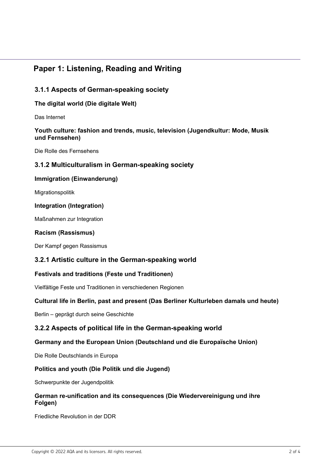# **Paper 1: Listening, Reading and Writing**

# **3.1.1 Aspects of German-speaking society**

# **The digital world (Die digitale Welt)**

Das Internet

#### **Youth culture: fashion and trends, music, television (Jugendkultur: Mode, Musik und Fernsehen)**

Die Rolle des Fernsehens

# **3.1.2 Multiculturalism in German-speaking society**

### **Immigration (Einwanderung)**

Migrationspolitik

### **Integration (Integration)**

Maßnahmen zur Integration

#### **Racism (Rassismus)**

Der Kampf gegen Rassismus

# **3.2.1 Artistic culture in the German-speaking world**

#### **Festivals and traditions (Feste und Traditionen)**

Vielfältige Feste und Traditionen in verschiedenen Regionen

#### **Cultural life in Berlin, past and present (Das Berliner Kulturleben damals und heute)**

Berlin – geprägt durch seine Geschichte

# **3.2.2 Aspects of political life in the German-speaking world**

# **Germany and the European Union (Deutschland und die Europaïsche Union)**

Die Rolle Deutschlands in Europa

# **Politics and youth (Die Politik und die Jugend)**

Schwerpunkte der Jugendpolitik

#### **German re-unification and its consequences (Die Wiedervereinigung und ihre Folgen)**

Friedliche Revolution in der DDR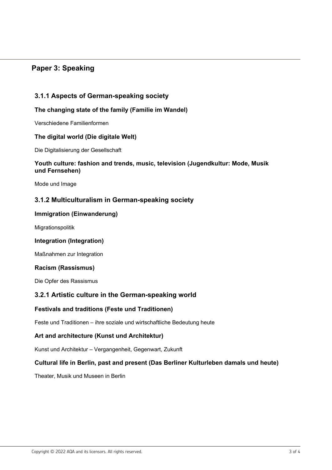# **Paper 3: Speaking**

# **3.1.1 Aspects of German-speaking society**

### **The changing state of the family (Familie im Wandel)**

Verschiedene Familienformen

#### **The digital world (Die digitale Welt)**

Die Digitalisierung der Gesellschaft

#### **Youth culture: fashion and trends, music, television (Jugendkultur: Mode, Musik und Fernsehen)**

Mode und Image

# **3.1.2 Multiculturalism in German-speaking society**

#### **Immigration (Einwanderung)**

Migrationspolitik

#### **Integration (Integration)**

Maßnahmen zur Integration

#### **Racism (Rassismus)**

Die Opfer des Rassismus

# **3.2.1 Artistic culture in the German-speaking world**

#### **Festivals and traditions (Feste und Traditionen)**

Feste und Traditionen – ihre soziale und wirtschaftliche Bedeutung heute

# **Art and architecture (Kunst und Architektur)**

Kunst und Architektur – Vergangenheit, Gegenwart, Zukunft

#### **Cultural life in Berlin, past and present (Das Berliner Kulturleben damals und heute)**

Theater, Musik und Museen in Berlin